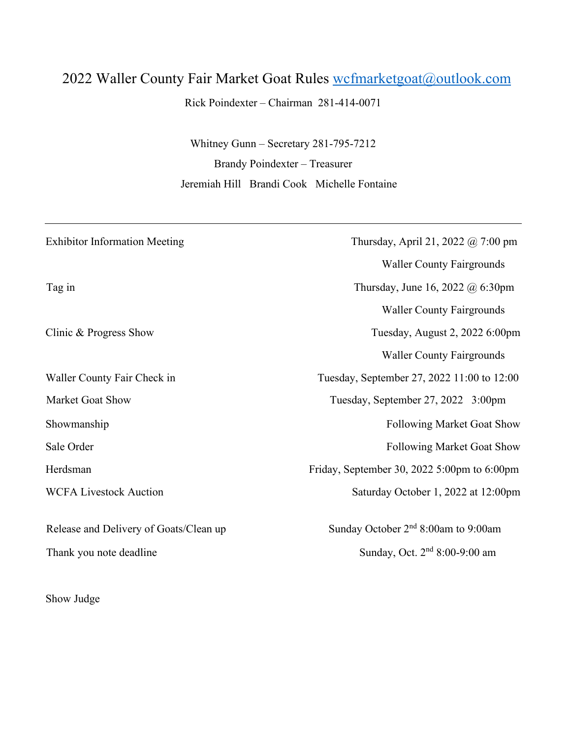## 2022 Waller County Fair Market Goat Rules wcfmarketgoat@outlook.com

Rick Poindexter – Chairman 281-414-0071

Whitney Gunn – Secretary 281-795-7212 Brandy Poindexter – Treasurer Jeremiah Hill Brandi Cook Michelle Fontaine

| <b>Exhibitor Information Meeting</b>   | Thursday, April 21, 2022 @ 7:00 pm             |
|----------------------------------------|------------------------------------------------|
|                                        | <b>Waller County Fairgrounds</b>               |
| Tag in                                 | Thursday, June 16, 2022 $@$ 6:30pm             |
|                                        | <b>Waller County Fairgrounds</b>               |
| Clinic & Progress Show                 | Tuesday, August 2, 2022 6:00pm                 |
|                                        | <b>Waller County Fairgrounds</b>               |
| Waller County Fair Check in            | Tuesday, September 27, 2022 11:00 to 12:00     |
| Market Goat Show                       | Tuesday, September 27, 2022 3:00pm             |
| Showmanship                            | <b>Following Market Goat Show</b>              |
| Sale Order                             | <b>Following Market Goat Show</b>              |
| Herdsman                               | Friday, September 30, 2022 5:00pm to $6:00$ pm |
| <b>WCFA Livestock Auction</b>          | Saturday October 1, 2022 at 12:00pm            |
| Release and Delivery of Goats/Clean up | Sunday October $2nd 8:00$ am to 9:00am         |
| Thank you note deadline                | Sunday, Oct. 2 <sup>nd</sup> 8:00-9:00 am      |
|                                        |                                                |

Show Judge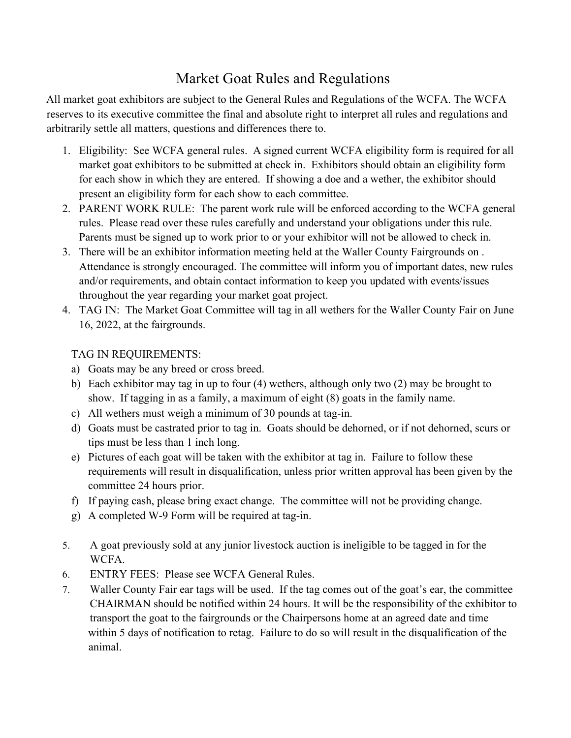## Market Goat Rules and Regulations

All market goat exhibitors are subject to the General Rules and Regulations of the WCFA. The WCFA reserves to its executive committee the final and absolute right to interpret all rules and regulations and arbitrarily settle all matters, questions and differences there to.

- 1. Eligibility: See WCFA general rules. A signed current WCFA eligibility form is required for all market goat exhibitors to be submitted at check in. Exhibitors should obtain an eligibility form for each show in which they are entered. If showing a doe and a wether, the exhibitor should present an eligibility form for each show to each committee.
- 2. PARENT WORK RULE: The parent work rule will be enforced according to the WCFA general rules. Please read over these rules carefully and understand your obligations under this rule. Parents must be signed up to work prior to or your exhibitor will not be allowed to check in.
- 3. There will be an exhibitor information meeting held at the Waller County Fairgrounds on . Attendance is strongly encouraged. The committee will inform you of important dates, new rules and/or requirements, and obtain contact information to keep you updated with events/issues throughout the year regarding your market goat project.
- 4. TAG IN: The Market Goat Committee will tag in all wethers for the Waller County Fair on June 16, 2022, at the fairgrounds.

## TAG IN REQUIREMENTS:

- a) Goats may be any breed or cross breed.
- b) Each exhibitor may tag in up to four (4) wethers, although only two (2) may be brought to show. If tagging in as a family, a maximum of eight (8) goats in the family name.
- c) All wethers must weigh a minimum of 30 pounds at tag-in.
- d) Goats must be castrated prior to tag in. Goats should be dehorned, or if not dehorned, scurs or tips must be less than 1 inch long.
- e) Pictures of each goat will be taken with the exhibitor at tag in. Failure to follow these requirements will result in disqualification, unless prior written approval has been given by the committee 24 hours prior.
- f) If paying cash, please bring exact change. The committee will not be providing change.
- g) A completed W-9 Form will be required at tag-in.
- 5. A goat previously sold at any junior livestock auction is ineligible to be tagged in for the WCFA.
- 6. ENTRY FEES: Please see WCFA General Rules.
- 7. Waller County Fair ear tags will be used. If the tag comes out of the goat's ear, the committee CHAIRMAN should be notified within 24 hours. It will be the responsibility of the exhibitor to transport the goat to the fairgrounds or the Chairpersons home at an agreed date and time within 5 days of notification to retag. Failure to do so will result in the disqualification of the animal.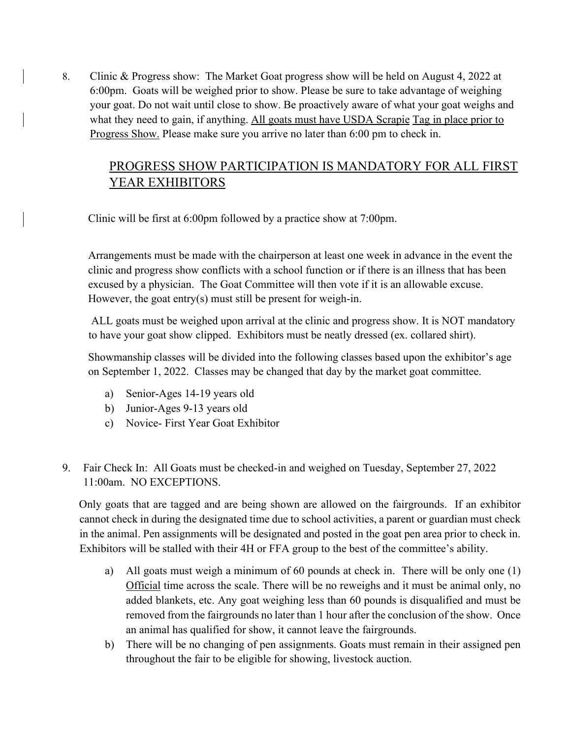8. Clinic & Progress show: The Market Goat progress show will be held on August 4, 2022 at 6:00pm. Goats will be weighed prior to show. Please be sure to take advantage of weighing your goat. Do not wait until close to show. Be proactively aware of what your goat weighs and what they need to gain, if anything. All goats must have USDA Scrapie Tag in place prior to Progress Show. Please make sure you arrive no later than 6:00 pm to check in.

## PROGRESS SHOW PARTICIPATION IS MANDATORY FOR ALL FIRST YEAR EXHIBITORS

Clinic will be first at 6:00pm followed by a practice show at 7:00pm.

Arrangements must be made with the chairperson at least one week in advance in the event the clinic and progress show conflicts with a school function or if there is an illness that has been excused by a physician. The Goat Committee will then vote if it is an allowable excuse. However, the goat entry(s) must still be present for weigh-in.

 ALL goats must be weighed upon arrival at the clinic and progress show. It is NOT mandatory to have your goat show clipped. Exhibitors must be neatly dressed (ex. collared shirt).

 Showmanship classes will be divided into the following classes based upon the exhibitor's age on September 1, 2022. Classes may be changed that day by the market goat committee.

- a) Senior-Ages 14-19 years old
- b) Junior-Ages 9-13 years old
- c) Novice- First Year Goat Exhibitor
- 9. Fair Check In: All Goats must be checked-in and weighed on Tuesday, September 27, 2022 11:00am. NO EXCEPTIONS.

 Only goats that are tagged and are being shown are allowed on the fairgrounds. If an exhibitor cannot check in during the designated time due to school activities, a parent or guardian must check in the animal. Pen assignments will be designated and posted in the goat pen area prior to check in. Exhibitors will be stalled with their 4H or FFA group to the best of the committee's ability.

- a) All goats must weigh a minimum of 60 pounds at check in. There will be only one (1) Official time across the scale. There will be no reweighs and it must be animal only, no added blankets, etc. Any goat weighing less than 60 pounds is disqualified and must be removed from the fairgrounds no later than 1 hour after the conclusion of the show. Once an animal has qualified for show, it cannot leave the fairgrounds.
- b) There will be no changing of pen assignments. Goats must remain in their assigned pen throughout the fair to be eligible for showing, livestock auction.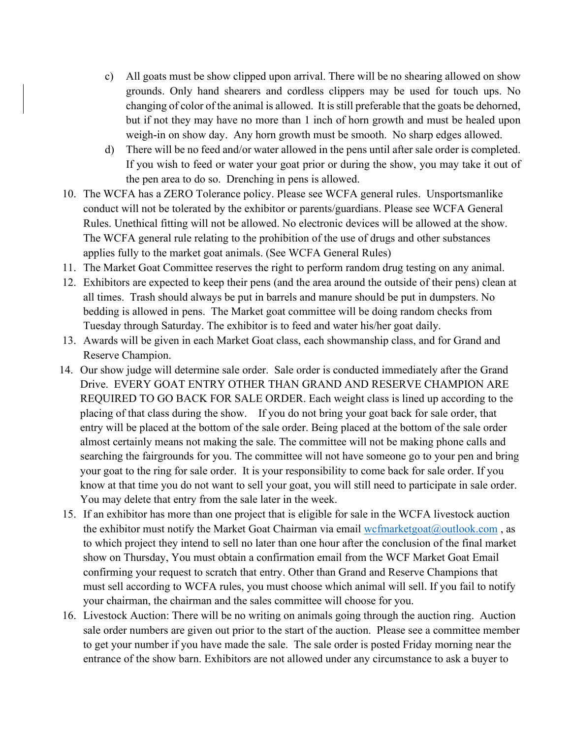- c) All goats must be show clipped upon arrival. There will be no shearing allowed on show grounds. Only hand shearers and cordless clippers may be used for touch ups. No changing of color of the animal is allowed. It is still preferable that the goats be dehorned, but if not they may have no more than 1 inch of horn growth and must be healed upon weigh-in on show day. Any horn growth must be smooth. No sharp edges allowed.
- d) There will be no feed and/or water allowed in the pens until after sale order is completed. If you wish to feed or water your goat prior or during the show, you may take it out of the pen area to do so. Drenching in pens is allowed.
- 10. The WCFA has a ZERO Tolerance policy. Please see WCFA general rules. Unsportsmanlike conduct will not be tolerated by the exhibitor or parents/guardians. Please see WCFA General Rules. Unethical fitting will not be allowed. No electronic devices will be allowed at the show. The WCFA general rule relating to the prohibition of the use of drugs and other substances applies fully to the market goat animals. (See WCFA General Rules)
- 11. The Market Goat Committee reserves the right to perform random drug testing on any animal.
- 12. Exhibitors are expected to keep their pens (and the area around the outside of their pens) clean at all times. Trash should always be put in barrels and manure should be put in dumpsters. No bedding is allowed in pens. The Market goat committee will be doing random checks from Tuesday through Saturday. The exhibitor is to feed and water his/her goat daily.
- 13. Awards will be given in each Market Goat class, each showmanship class, and for Grand and Reserve Champion.
- 14. Our show judge will determine sale order. Sale order is conducted immediately after the Grand Drive. EVERY GOAT ENTRY OTHER THAN GRAND AND RESERVE CHAMPION ARE REQUIRED TO GO BACK FOR SALE ORDER. Each weight class is lined up according to the placing of that class during the show. If you do not bring your goat back for sale order, that entry will be placed at the bottom of the sale order. Being placed at the bottom of the sale order almost certainly means not making the sale. The committee will not be making phone calls and searching the fairgrounds for you. The committee will not have someone go to your pen and bring your goat to the ring for sale order. It is your responsibility to come back for sale order. If you know at that time you do not want to sell your goat, you will still need to participate in sale order. You may delete that entry from the sale later in the week.
- 15. If an exhibitor has more than one project that is eligible for sale in the WCFA livestock auction the exhibitor must notify the Market Goat Chairman via email  $wcfmarketgoat@outlook.com$ , as to which project they intend to sell no later than one hour after the conclusion of the final market show on Thursday, You must obtain a confirmation email from the WCF Market Goat Email confirming your request to scratch that entry. Other than Grand and Reserve Champions that must sell according to WCFA rules, you must choose which animal will sell. If you fail to notify your chairman, the chairman and the sales committee will choose for you.
- 16. Livestock Auction: There will be no writing on animals going through the auction ring. Auction sale order numbers are given out prior to the start of the auction. Please see a committee member to get your number if you have made the sale. The sale order is posted Friday morning near the entrance of the show barn. Exhibitors are not allowed under any circumstance to ask a buyer to